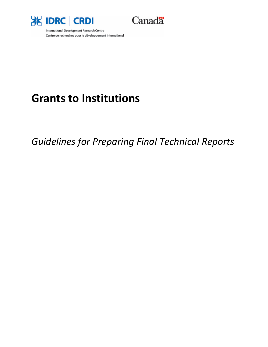



International Development Research Centre Centre de recherches pour le développement international

# **Grants to Institutions**

*Guidelines for Preparing Final Technical Reports*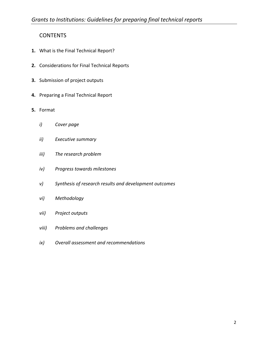## **CONTENTS**

- **1.** What is the Final Technical Report?
- **2.** Considerations for Final Technical Reports
- **3.** Submission of project outputs
- **4.** Preparing a Final Technical Report
- **5.** Format
	- *i) Cover page*
	- *ii) Executive summary*
	- *iii) The research problem*
	- *iv) Progress towards milestones*
	- *v) Synthesis of research results and development outcomes*
	- *vi) Methodology*
	- *vii) Project outputs*
	- *viii) Problems and challenges*
	- *ix) Overall assessment and recommendations*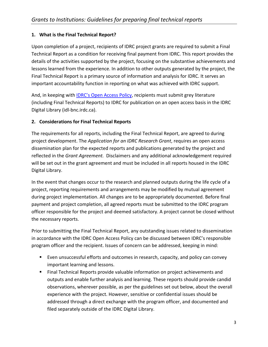### **1. What is the Final Technical Report?**

Upon completion of a project, recipients of IDRC project grants are required to submit a Final Technical Report as a condition for receiving final payment from IDRC. This report provides the details of the activities supported by the project, focusing on the substantive achievements and lessons learned from the experience. In addition to other outputs generated by the project, the Final Technical Report is a primary source of information and analysis for IDRC. It serves an important accountability function in reporting on what was achieved with IDRC support.

And, in keeping with **IDRC's Open Access Policy**, recipients must submit grey literature (including Final Technical Reports) to IDRC for publication on an open access basis in the IDRC Digital Library (idl‐bnc.irdc.ca).

#### **2. Considerations for Final Technical Reports**

The requirements for all reports, including the Final Technical Report, are agreed to during project development. The *Application for an IDRC Research Grant*, requires an open access dissemination plan for the expected reports and publications generated by the project and reflected in the *Grant Agreement.* Disclaimers and any additional acknowledgement required will be set out in the grant agreement and must be included in all reports housed in the IDRC Digital Library.

In the event that changes occur to the research and planned outputs during the life cycle of a project, reporting requirements and arrangements may be modified by mutual agreement during project implementation. All changes are to be appropriately documented. Before final payment and project completion, all agreed reports must be submitted to the IDRC program officer responsible for the project and deemed satisfactory. A project cannot be closed without the necessary reports.

Prior to submitting the Final Technical Report, any outstanding issues related to dissemination in accordance with the IDRC Open Access Policy can be discussed between IDRC's responsible program officer and the recipient. Issues of concern can be addressed, keeping in mind:

- Even unsuccessful efforts and outcomes in research, capacity, and policy can convey important learning and lessons.
- **Final Technical Reports provide valuable information on project achievements and** outputs and enable further analysis and learning. These reports should provide candid observations, wherever possible, as per the guidelines set out below, about the overall experience with the project. However, sensitive or confidential issues should be addressed through a direct exchange with the program officer, and documented and filed separately outside of the IDRC Digital Library.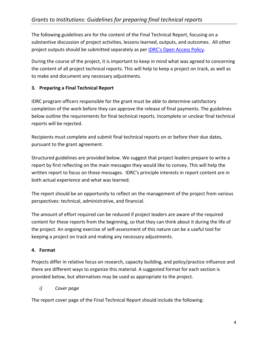The following guidelines are for the content of the Final Technical Report, focusing on a substantive discussion of project activities, lessons learned, outputs, and outcomes. All other project outputs should be submitted separately as per IDRC's Open Access Policy.

During the course of the project, it is important to keep in mind what was agreed to concerning the content of all project technical reports. This will help to keep a project on track, as well as to make and document any necessary adjustments.

## **3. Preparing a Final Technical Report**

IDRC program officers responsible for the grant must be able to determine satisfactory completion of the work before they can approve the release of final payments. The guidelines below outline the requirements for final technical reports. Incomplete or unclear final technical reports will be rejected.

Recipients must complete and submit final technical reports on or before their due dates, pursuant to the grant agreement.

Structured guidelines are provided below. We suggest that project leaders prepare to write a report by first reflecting on the main messages they would like to convey. This will help the written report to focus on those messages. IDRC's principle interests in report content are in both actual experience and what was learned.

The report should be an opportunity to reflect on the management of the project from various perspectives: technical, administrative, and financial.

The amount of effort required can be reduced if project leaders are aware of the required content for these reports from the beginning, so that they can think about it during the life of the project. An ongoing exercise of self‐assessment of this nature can be a useful tool for keeping a project on track and making any necessary adjustments.

## **4. Format**

Projects differ in relative focus on research, capacity building, and policy/practice influence and there are different ways to organize this material. A suggested format for each section is provided below, but alternatives may be used as appropriate to the project.

*i) Cover page*

The report cover page of the Final Technical Report should include the following: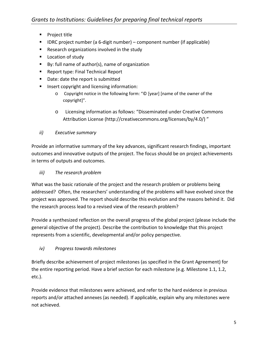- **Project title**
- IDRC project number (a 6-digit number) component number (if applicable)
- **Research organizations involved in the study**
- **Location of study**
- By: full name of author(s), name of organization
- Report type: Final Technical Report
- Date: date the report is submitted
- **Insert copyright and licensing information:** 
	- o Copyright notice in the following form: "© [year] [name of the owner of the copyright]".
	- o Licensing information as follows: "Disseminated under Creative Commons Attribution License (http://creativecommons.org/licenses/by/4.0/) "
- *ii) Executive summary*

Provide an informative summary of the key advances, significant research findings, important outcomes and innovative outputs of the project. The focus should be on project achievements in terms of outputs and outcomes.

*iii) The research problem*

What was the basic rationale of the project and the research problem or problems being addressed? Often, the researchers' understanding of the problems will have evolved since the project was approved. The report should describe this evolution and the reasons behind it. Did the research process lead to a revised view of the research problem?

Provide a synthesized reflection on the overall progress of the global project (please include the general objective of the project). Describe the contribution to knowledge that this project represents from a scientific, developmental and/or policy perspective.

*iv) Progress towards milestones* 

Briefly describe achievement of project milestones (as specified in the Grant Agreement) for the entire reporting period. Have a brief section for each milestone (e.g. Milestone 1.1, 1.2, etc.).

Provide evidence that milestones were achieved, and refer to the hard evidence in previous reports and/or attached annexes (as needed). If applicable, explain why any milestones were not achieved.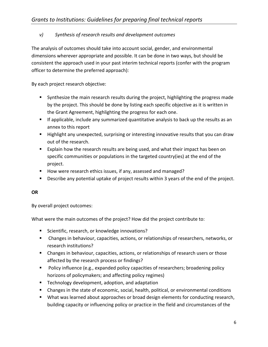## *v) Synthesis of research results and development outcomes*

The analysis of outcomes should take into account social, gender, and environmental dimensions wherever appropriate and possible. It can be done in two ways, but should be consistent the approach used in your past interim technical reports (confer with the program officer to determine the preferred approach):

By each project research objective:

- **Synthesize the main research results during the project, highlighting the progress made** by the project. This should be done by listing each specific objective as it is written in the Grant Agreement, highlighting the progress for each one.
- If applicable, include any summarized quantitative analysis to back up the results as an annex to this report
- **Highlight any unexpected, surprising or interesting innovative results that you can draw** out of the research.
- **Explain how the research results are being used, and what their impact has been on** specific communities or populations in the targeted country(ies) at the end of the project.
- How were research ethics issues, if any, assessed and managed?
- **Describe any potential uptake of project results within 3 years of the end of the project.**

#### **OR**

By overall project outcomes:

What were the main outcomes of the project? How did the project contribute to:

- **Scientific, research, or knowledge innovations?**
- Changes in behaviour, capacities, actions, or relationships of researchers, networks, or research institutions?
- Changes in behaviour, capacities, actions, or relationships of research users or those affected by the research process or findings?
- **Policy influence (e.g., expanded policy capacities of researchers; broadening policy** horizons of policymakers; and affecting policy regimes)
- **F** Technology development, adoption, and adaptation
- Changes in the state of economic, social, health, political, or environmental conditions
- **What was learned about approaches or broad design elements for conducting research,** building capacity or influencing policy or practice in the field and circumstances of the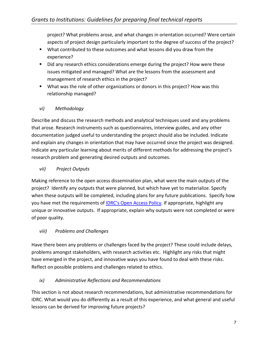project? What problems arose, and what changes in orientation occurred? Were certain aspects of project design particularly important to the degree of success of the project?

- What contributed to these outcomes and what lessons did you draw from the experience?
- Did any research ethics considerations emerge during the project? How were these issues mitigated and managed? What are the lessons from the assessment and management of research ethics in the project?
- What was the role of other organizations or donors in this project? How was this relationship managed?

## *vi) Methodology*

Describe and discuss the research methods and analytical techniques used and any problems that arose. Research instruments such as questionnaires, interview guides, and any other documentation judged useful to understanding the project should also be included. Indicate and explain any changes in orientation that may have occurred since the project was designed. Indicate any particular learning about merits of different methods for addressing the project's research problem and generating desired outputs and outcomes.

## *vii) Project Outputs*

Making reference to the open access dissemination plan, what were the main outputs of the project? Identify any outputs that were planned, but which have yet to materialize. Specify when these outputs will be completed, including plans for any future publications. Specify how you have met the requirements of IDRC's Open Access Policy. If appropriate, highlight any unique or innovative outputs. If appropriate, explain why outputs were not completed or were of poor quality.

## *viii) Problems and Challenges*

Have there been any problems or challenges faced by the project? These could include delays, problems amongst stakeholders, with research activities etc. Highlight any risks that might have emerged in the project, and innovative ways you have found to deal with these risks. Reflect on possible problems and challenges related to ethics.

## *ix) Administrative Reflections and Recommendations*

This section is not about research recommendations, but administrative recommendations for IDRC. What would you do differently as a result of this experience, and what general and useful lessons can be derived for improving future projects?